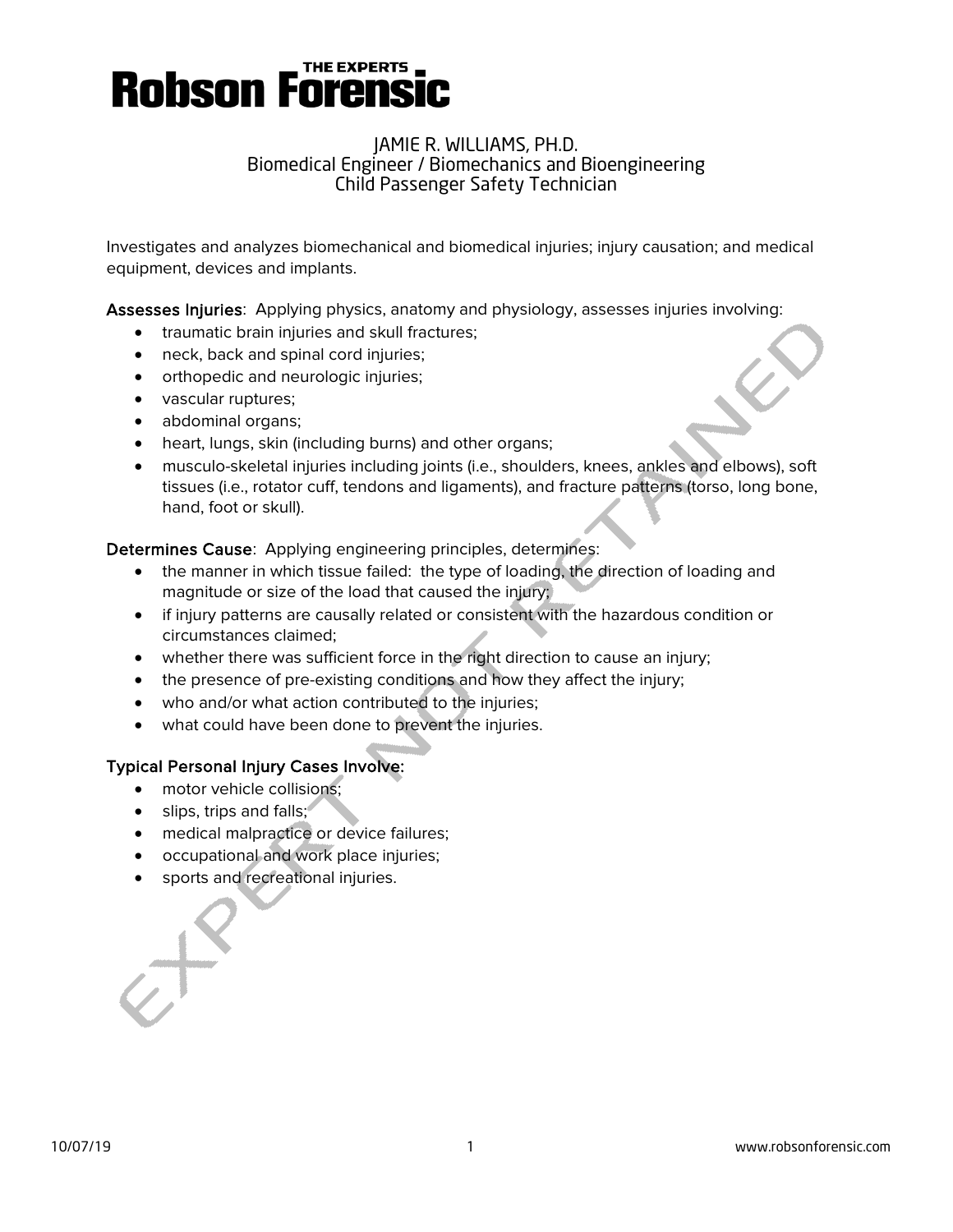# **Robson Forensic**

#### JAMIE R. WILLIAMS, PH.D. Biomedical Engineer / Biomechanics and Bioengineering Child Passenger Safety Technician

Investigates and analyzes biomechanical and biomedical injuries; injury causation; and medical equipment, devices and implants.

Assesses Injuries: Applying physics, anatomy and physiology, assesses injuries involving:

- traumatic brain injuries and skull fractures;
- neck, back and spinal cord injuries;
- orthopedic and neurologic injuries;
- vascular ruptures;
- abdominal organs;
- heart, lungs, skin (including burns) and other organs;
- musculo-skeletal injuries including joints (i.e., shoulders, knees, ankles and elbows), soft tissues (i.e., rotator cuff, tendons and ligaments), and fracture patterns (torso, long bone, hand, foot or skull).

Determines Cause: Applying engineering principles, determines:

- the manner in which tissue failed: the type of loading, the direction of loading and magnitude or size of the load that caused the injury;
- if injury patterns are causally related or consistent with the hazardous condition or circumstances claimed;
- whether there was sufficient force in the right direction to cause an injury;
- the presence of pre-existing conditions and how they affect the injury;
- who and/or what action contributed to the injuries;
- what could have been done to prevent the injuries.

#### Typical Personal Injury Cases Involve:

- motor vehicle collisions;
- slips, trips and falls;
- medical malpractice or device failures;
- occupational and work place injuries;
- sports and recreational injuries.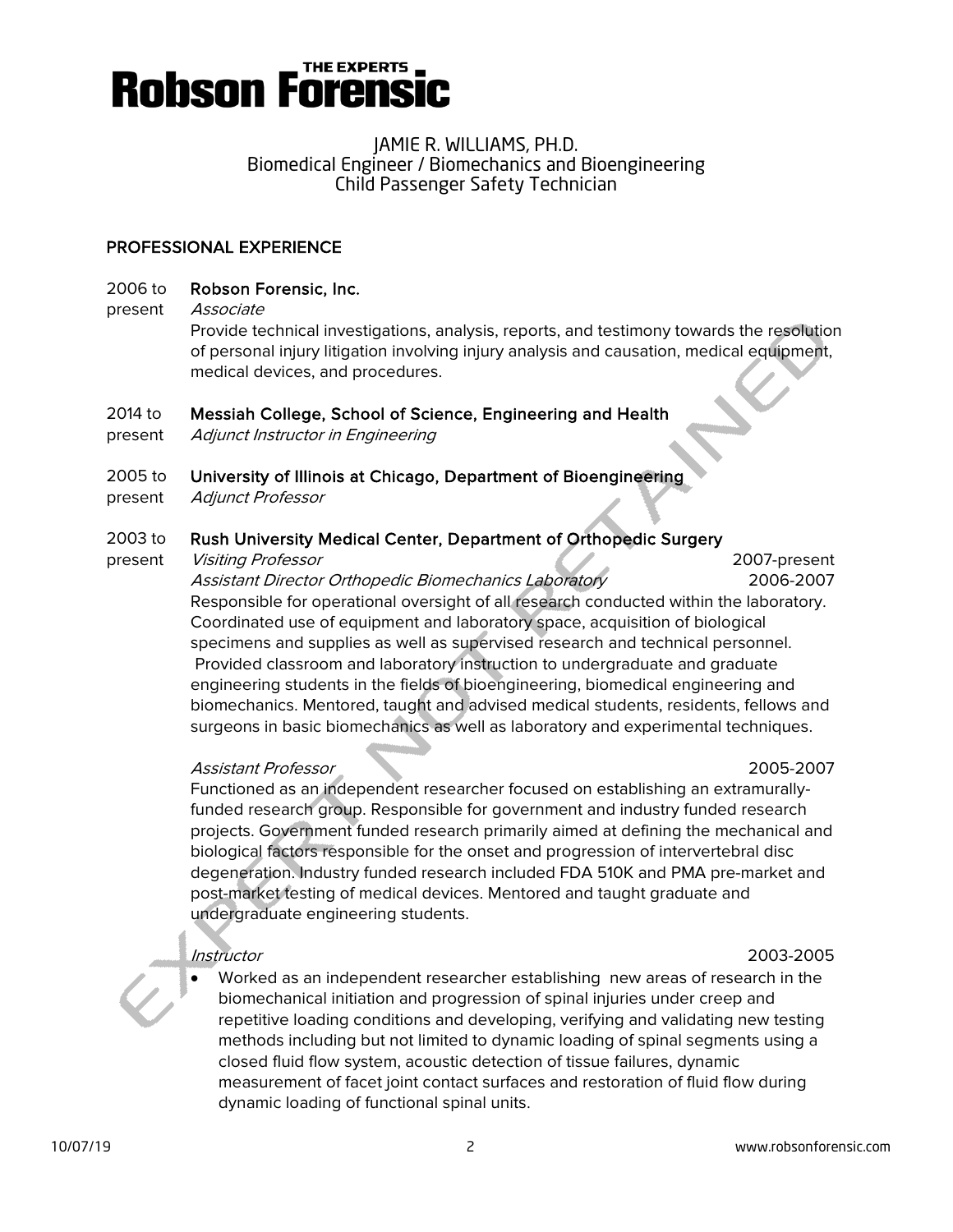

#### PROFESSIONAL EXPERIENCE

- 2006 to Robson Forensic, Inc.
- present Associate

Provide technical investigations, analysis, reports, and testimony towards the resolution of personal injury litigation involving injury analysis and causation, medical equipment, medical devices, and procedures.

#### 2014 to Messiah College, School of Science, Engineering and Health

present Adjunct Instructor in Engineering

#### 2005 to University of Illinois at Chicago, Department of Bioengineering

present Adjunct Professor

#### 2003 to Rush University Medical Center, Department of Orthopedic Surgery

present Visiting Professor 2007-present Assistant Director Orthopedic Biomechanics Laboratory 2006-2007 Responsible for operational oversight of all research conducted within the laboratory. Coordinated use of equipment and laboratory space, acquisition of biological specimens and supplies as well as supervised research and technical personnel. Provided classroom and laboratory instruction to undergraduate and graduate engineering students in the fields of bioengineering, biomedical engineering and biomechanics. Mentored, taught and advised medical students, residents, fellows and surgeons in basic biomechanics as well as laboratory and experimental techniques.

#### Assistant Professor 2005-2007

Functioned as an independent researcher focused on establishing an extramurallyfunded research group. Responsible for government and industry funded research projects. Government funded research primarily aimed at defining the mechanical and biological factors responsible for the onset and progression of intervertebral disc degeneration. Industry funded research included FDA 510K and PMA pre-market and post-market testing of medical devices. Mentored and taught graduate and undergraduate engineering students.

#### Instructor 2003-2005

• Worked as an independent researcher establishing new areas of research in the biomechanical initiation and progression of spinal injuries under creep and repetitive loading conditions and developing, verifying and validating new testing methods including but not limited to dynamic loading of spinal segments using a closed fluid flow system, acoustic detection of tissue failures, dynamic measurement of facet joint contact surfaces and restoration of fluid flow during dynamic loading of functional spinal units.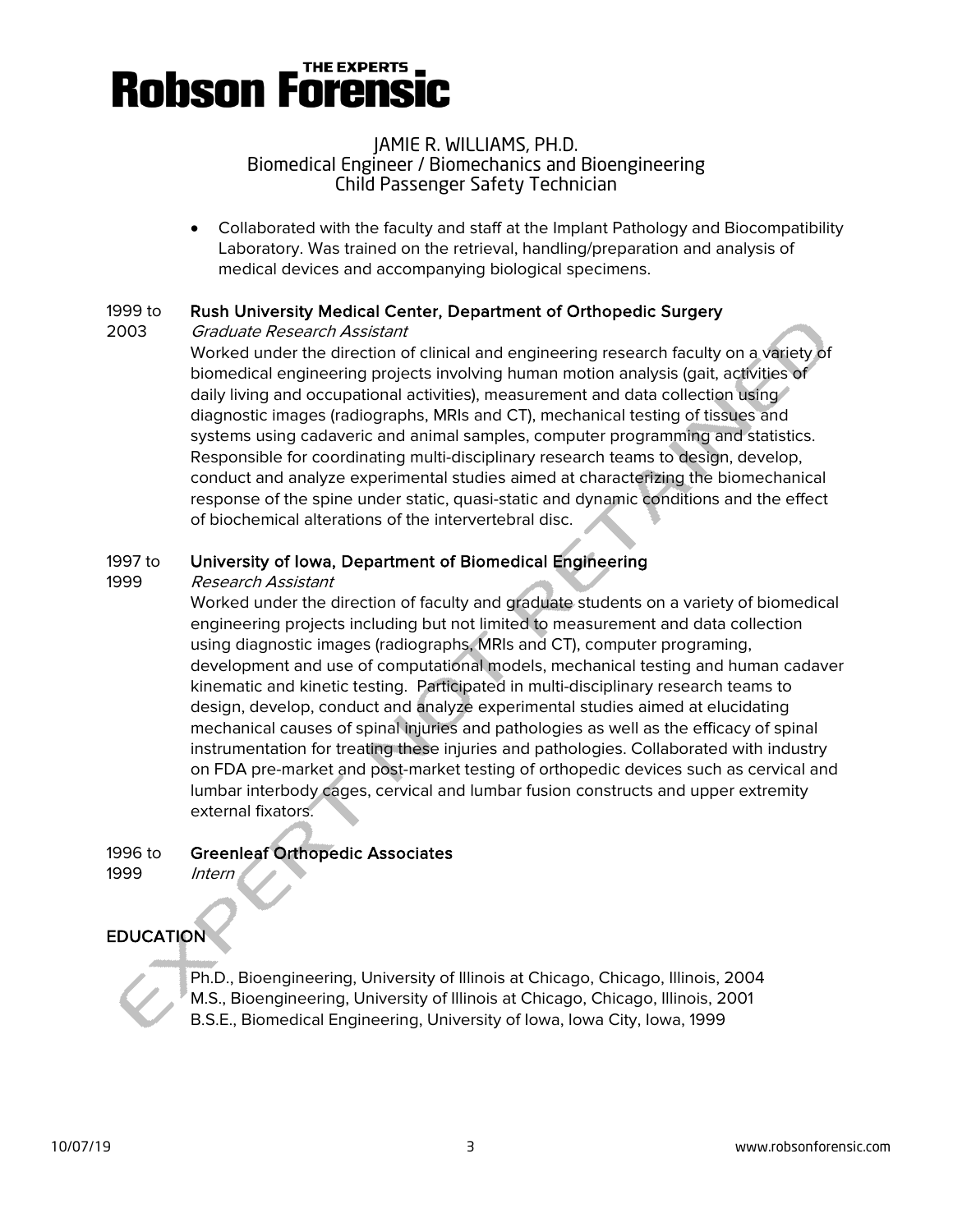## **Robson Forensi**

### JAMIE R. WILLIAMS, PH.D. Biomedical Engineer / Biomechanics and Bioengineering Child Passenger Safety Technician

• Collaborated with the faculty and staff at the Implant Pathology and Biocompatibility Laboratory. Was trained on the retrieval, handling/preparation and analysis of medical devices and accompanying biological specimens.

## 1999 to Rush University Medical Center, Department of Orthopedic Surgery

2003 Graduate Research Assistant

Worked under the direction of clinical and engineering research faculty on a variety of biomedical engineering projects involving human motion analysis (gait, activities of daily living and occupational activities), measurement and data collection using diagnostic images (radiographs, MRIs and CT), mechanical testing of tissues and systems using cadaveric and animal samples, computer programming and statistics. Responsible for coordinating multi-disciplinary research teams to design, develop, conduct and analyze experimental studies aimed at characterizing the biomechanical response of the spine under static, quasi-static and dynamic conditions and the effect of biochemical alterations of the intervertebral disc.

## 1997 to University of Iowa, Department of Biomedical Engineering

## 1999 Research Assistant

Worked under the direction of faculty and graduate students on a variety of biomedical engineering projects including but not limited to measurement and data collection using diagnostic images (radiographs, MRIs and CT), computer programing, development and use of computational models, mechanical testing and human cadaver kinematic and kinetic testing. Participated in multi-disciplinary research teams to design, develop, conduct and analyze experimental studies aimed at elucidating mechanical causes of spinal injuries and pathologies as well as the efficacy of spinal instrumentation for treating these injuries and pathologies. Collaborated with industry on FDA pre-market and post-market testing of orthopedic devices such as cervical and lumbar interbody cages, cervical and lumbar fusion constructs and upper extremity external fixators.

1996 to Greenleaf Orthopedic Associates

1999 Intern

## EDUCATION

.<br>. Ph.D., Bioengineering, University of Illinois at Chicago, Chicago, Illinois, 2004 M.S., Bioengineering, University of Illinois at Chicago, Chicago, Illinois, 2001 B.S.E., Biomedical Engineering, University of Iowa, Iowa City, Iowa, 1999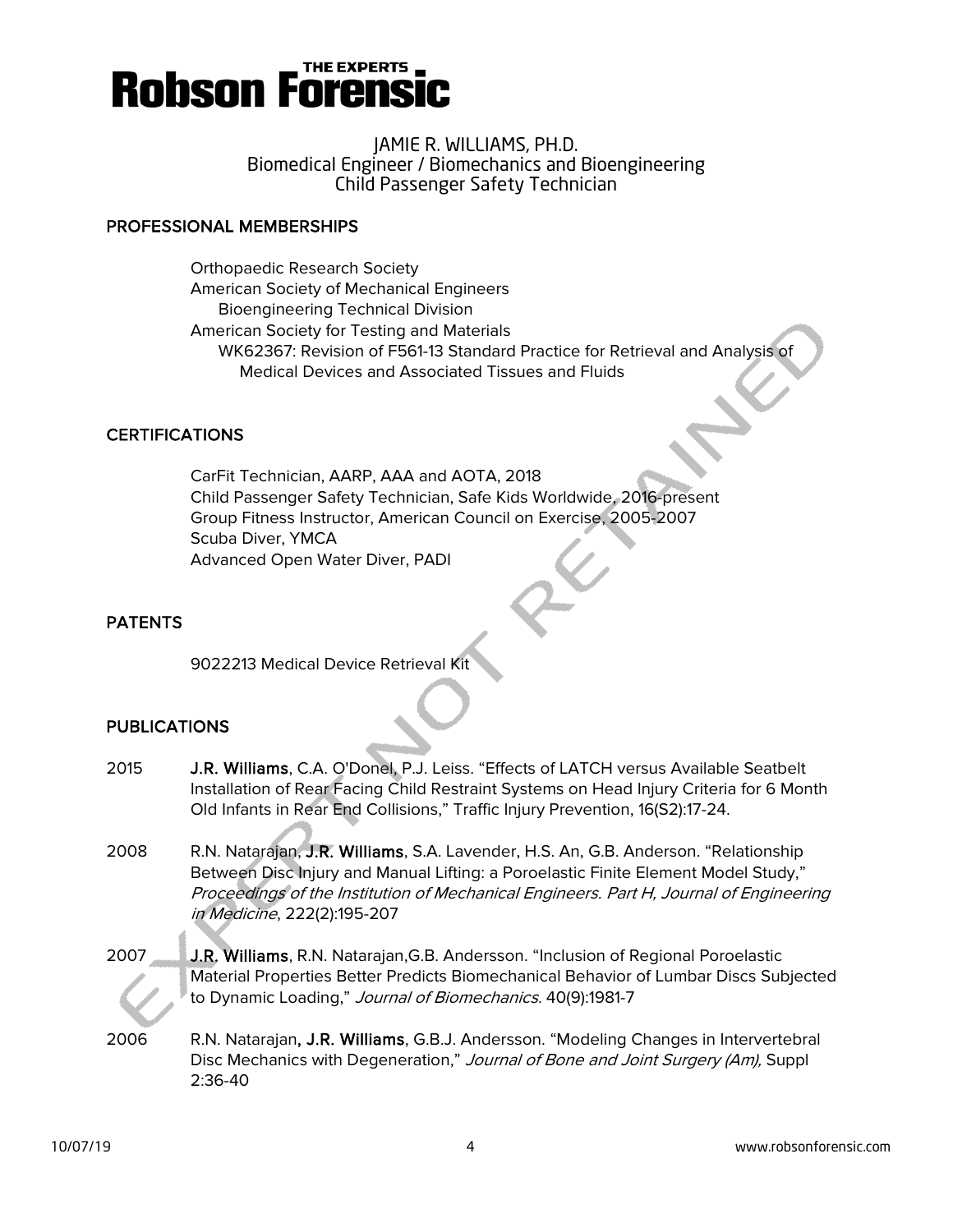

#### PROFESSIONAL MEMBERSHIPS

Orthopaedic Research Society American Society of Mechanical Engineers Bioengineering Technical Division American Society for Testing and Materials WK62367: Revision of F561-13 Standard Practice for Retrieval and Analysis of Medical Devices and Associated Tissues and Fluids

#### **CERTIFICATIONS**

CarFit Technician, AARP, AAA and AOTA, 2018 Child Passenger Safety Technician, Safe Kids Worldwide, 2016-present Group Fitness Instructor, American Council on Exercise, 2005-2007 Scuba Diver, YMCA Advanced Open Water Diver, PADI

#### PATENTS

9022213 Medical Device Retrieval Kit

#### **PUBLICATIONS**

- 2015 J.R. Williams, C.A. O'Donel, P.J. Leiss. "Effects of LATCH versus Available Seatbelt Installation of Rear Facing Child Restraint Systems on Head Injury Criteria for 6 Month Old Infants in Rear End Collisions," Traffic Injury Prevention, 16(S2):17-24.
- 2008 R.N. Natarajan, J.R. Williams, S.A. Lavender, H.S. An, G.B. Anderson. ["Relationship](http://www.ncbi.nlm.nih.gov/pubmed/18441755?ordinalpos=1&itool=EntrezSystem2.PEntrez.Pubmed.Pubmed_ResultsPanel.Pubmed_DefaultReportPanel.Pubmed_RVDocSum)  [Between Disc Injury and Manual Lifting: a Poroelastic Finite Element Model Study,"](http://www.ncbi.nlm.nih.gov/pubmed/18441755?ordinalpos=1&itool=EntrezSystem2.PEntrez.Pubmed.Pubmed_ResultsPanel.Pubmed_DefaultReportPanel.Pubmed_RVDocSum) Proceedings of the Institution of Mechanical Engineers. Part H, Journal of Engineering in Medicine, 222(2):195-207
- 2007 J.R. Williams, R.N. Natarajan,G.B. Andersson. ["Inclusion of Regional Poroelastic](http://www.ncbi.nlm.nih.gov/pubmed/17156786?ordinalpos=2&itool=EntrezSystem2.PEntrez.Pubmed.Pubmed_ResultsPanel.Pubmed_DefaultReportPanel.Pubmed_RVDocSum)  [Material Properties Better Predicts Biomechanical Behavior of Lumbar Discs Subjected](http://www.ncbi.nlm.nih.gov/pubmed/17156786?ordinalpos=2&itool=EntrezSystem2.PEntrez.Pubmed.Pubmed_ResultsPanel.Pubmed_DefaultReportPanel.Pubmed_RVDocSum)  [to Dynamic Loading,"](http://www.ncbi.nlm.nih.gov/pubmed/17156786?ordinalpos=2&itool=EntrezSystem2.PEntrez.Pubmed.Pubmed_ResultsPanel.Pubmed_DefaultReportPanel.Pubmed_RVDocSum) Journal of Biomechanics. 40(9):1981-7
- 2006 R.N. Natarajan, J.R. Williams, G.B.J. Andersson. "Modeling Changes in Intervertebral Disc Mechanics with Degeneration," Journal of Bone and Joint Surgery (Am), Suppl 2:36-40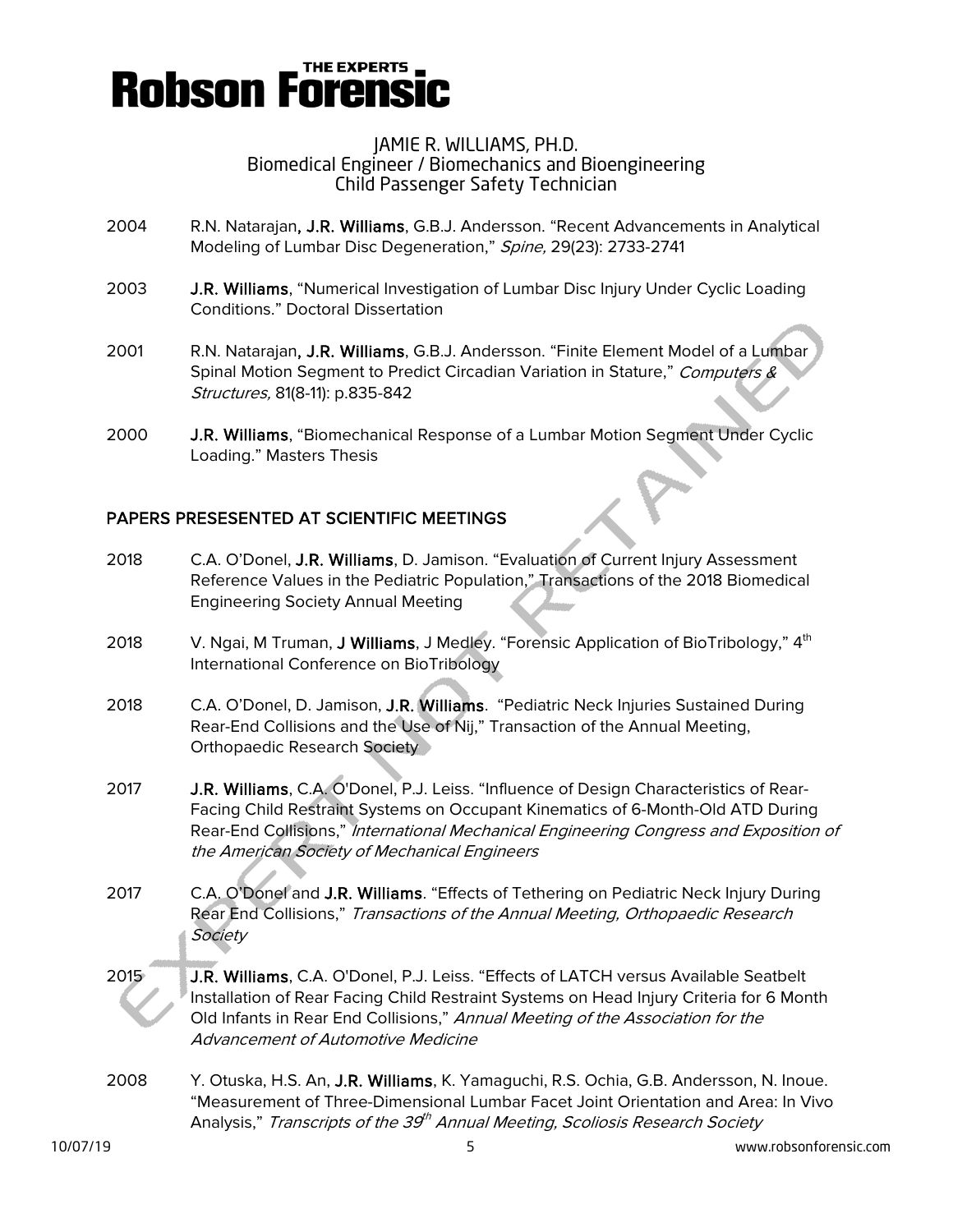## **Robson Forensi**

#### JAMIE R. WILLIAMS, PH.D. Biomedical Engineer / Biomechanics and Bioengineering Child Passenger Safety Technician

- 2004 R.N. Natarajan, J.R. Williams, G.B.J. Andersson. "Recent Advancements in Analytical Modeling of Lumbar Disc Degeneration," Spine, 29(23): 2733-2741
- 2003 J.R. Williams, "Numerical Investigation of Lumbar Disc Injury Under Cyclic Loading Conditions." Doctoral Dissertation
- 2001 R.N. Natarajan, J.R. Williams, G.B.J. Andersson. "Finite Element Model of a Lumbar Spinal Motion Segment to Predict Circadian Variation in Stature," Computers & Structures, 81(8-11): p.835-842
- 2000 J.R. Williams, "Biomechanical Response of a Lumbar Motion Segment Under Cyclic Loading." Masters Thesis

## PAPERS PRESESENTED AT SCIENTIFIC MEETINGS

- 2018 C.A. O'Donel, J.R. Williams, D. Jamison. "Evaluation of Current Injury Assessment Reference Values in the Pediatric Population," Transactions of the 2018 Biomedical Engineering Society Annual Meeting
- 2018 V. Ngai, M Truman, J Williams, J Medley. "Forensic Application of BioTribology," 4<sup>th</sup> International Conference on BioTribology
- 2018 C.A. O'Donel, D. Jamison, J.R. Williams. "Pediatric Neck Injuries Sustained During Rear-End Collisions and the Use of Nij," Transaction of the Annual Meeting, Orthopaedic Research Society
- 2017 J.R. Williams, C.A. O'Donel, P.J. Leiss. "Influence of Design Characteristics of Rear-Facing Child Restraint Systems on Occupant Kinematics of 6-Month-Old ATD During Rear-End Collisions," International Mechanical Engineering Congress and Exposition of the American Society of Mechanical Engineers
- 2017 C.A. O'Donel and J.R. Williams. "Effects of Tethering on Pediatric Neck Injury During Rear End Collisions," Transactions of the Annual Meeting, Orthopaedic Research **Society**
- 2015 J.R. Williams, C.A. O'Donel, P.J. Leiss. "Effects of LATCH versus Available Seatbelt Installation of Rear Facing Child Restraint Systems on Head Injury Criteria for 6 Month Old Infants in Rear End Collisions," Annual Meeting of the Association for the Advancement of Automotive Medicine
- 2008 Y. Otuska, H.S. An, J.R. Williams, K. Yamaguchi, R.S. Ochia, G.B. Andersson, N. Inoue. "Measurement of Three-Dimensional Lumbar Facet Joint Orientation and Area: In Vivo Analysis," *Transcripts of the 39<sup>th</sup> Annual Meeting, Scoliosis Research Society*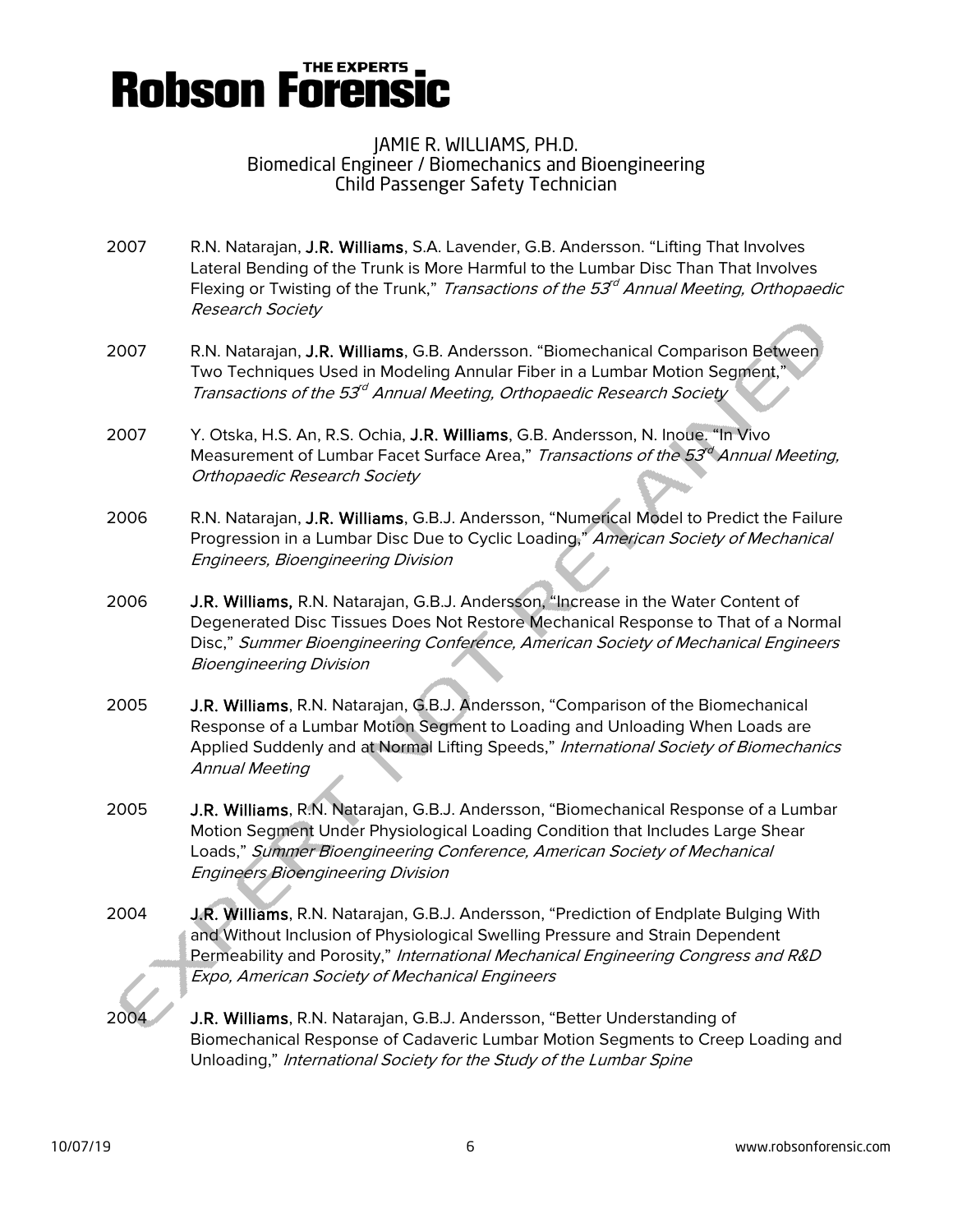

- 2007 R.N. Natarajan, J.R. Williams, S.A. Lavender, G.B. Andersson. "Lifting That Involves Lateral Bending of the Trunk is More Harmful to the Lumbar Disc Than That Involves Flexing or Twisting of the Trunk," Transactions of the  $53<sup>rd</sup>$  Annual Meeting, Orthopaedic Research Society
- 2007 R.N. Natarajan, J.R. Williams, G.B. Andersson. "Biomechanical Comparison Between Two Techniques Used in Modeling Annular Fiber in a Lumbar Motion Segment," Transactions of the 53<sup>rd</sup> Annual Meeting, Orthopaedic Research Society
- 2007 Y. Otska, H.S. An, R.S. Ochia, J.R. Williams, G.B. Andersson, N. Inoue. "In Vivo Measurement of Lumbar Facet Surface Area," Transactions of the  $53^\circ$  Annual Meeting, Orthopaedic Research Society
- 2006 R.N. Natarajan, J.R. Williams, G.B.J. Andersson, "Numerical Model to Predict the Failure Progression in a Lumbar Disc Due to Cyclic Loading," American Society of Mechanical Engineers, Bioengineering Division
- 2006 J.R. Williams, R.N. Natarajan, G.B.J. Andersson, "Increase in the Water Content of Degenerated Disc Tissues Does Not Restore Mechanical Response to That of a Normal Disc," Summer Bioengineering Conference, American Society of Mechanical Engineers Bioengineering Division
- 2005 J.R. Williams, R.N. Natarajan, G.B.J. Andersson, "Comparison of the Biomechanical Response of a Lumbar Motion Segment to Loading and Unloading When Loads are Applied Suddenly and at Normal Lifting Speeds," International Society of Biomechanics Annual Meeting
- 2005 J.R. Williams, R.N. Natarajan, G.B.J. Andersson, "Biomechanical Response of a Lumbar Motion Segment Under Physiological Loading Condition that Includes Large Shear Loads," Summer Bioengineering Conference, American Society of Mechanical Engineers Bioengineering Division
- 2004 J.R. Williams, R.N. Natarajan, G.B.J. Andersson, "Prediction of Endplate Bulging With and Without Inclusion of Physiological Swelling Pressure and Strain Dependent Permeability and Porosity," International Mechanical Engineering Congress and R&D Expo, American Society of Mechanical Engineers
- 2004 J.R. Williams, R.N. Natarajan, G.B.J. Andersson, "Better Understanding of Biomechanical Response of Cadaveric Lumbar Motion Segments to Creep Loading and Unloading," International Society for the Study of the Lumbar Spine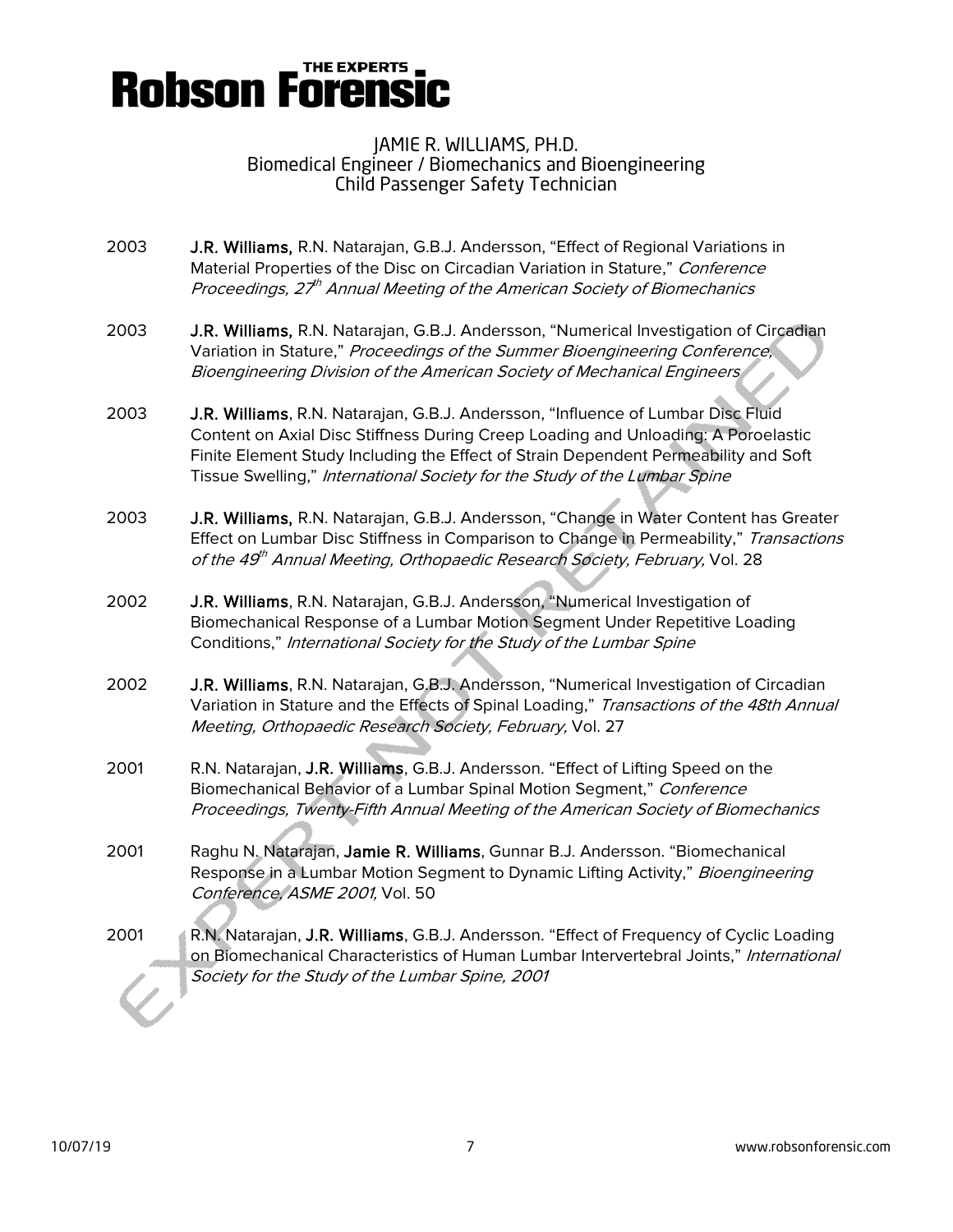## **Robson Forensic**

### JAMIE R. WILLIAMS, PH.D. Biomedical Engineer / Biomechanics and Bioengineering Child Passenger Safety Technician

- 2003 J.R. Williams, R.N. Natarajan, G.B.J. Andersson, "Effect of Regional Variations in Material Properties of the Disc on Circadian Variation in Stature," Conference Proceedings,  $27<sup>th</sup>$  Annual Meeting of the American Society of Biomechanics
- 2003 J.R. Williams, R.N. Natarajan, G.B.J. Andersson, "Numerical Investigation of Circadian Variation in Stature," Proceedings of the Summer Bioengineering Conference, Bioengineering Division of the American Society of Mechanical Engineers
- 2003 J.R. Williams, R.N. Natarajan, G.B.J. Andersson, "Influence of Lumbar Disc Fluid Content on Axial Disc Stiffness During Creep Loading and Unloading: A Poroelastic Finite Element Study Including the Effect of Strain Dependent Permeability and Soft Tissue Swelling," International Society for the Study of the Lumbar Spine
- 2003 J.R. Williams, R.N. Natarajan, G.B.J. Andersson, "Change in Water Content has Greater Effect on Lumbar Disc Stiffness in Comparison to Change in Permeability," Transactions of the 49<sup>th</sup> Annual Meeting, Orthopaedic Research Society, February, Vol. 28
- 2002 J.R. Williams, R.N. Natarajan, G.B.J. Andersson, "Numerical Investigation of Biomechanical Response of a Lumbar Motion Segment Under Repetitive Loading Conditions," International Society for the Study of the Lumbar Spine
- 2002 J.R. Williams, R.N. Natarajan, G.B.J. Andersson, "Numerical Investigation of Circadian Variation in Stature and the Effects of Spinal Loading," Transactions of the 48th Annual Meeting, Orthopaedic Research Society, February, Vol. 27
- 2001 R.N. Natarajan, J.R. Williams, G.B.J. Andersson. "Effect of Lifting Speed on the Biomechanical Behavior of a Lumbar Spinal Motion Segment," Conference Proceedings, Twenty-Fifth Annual Meeting of the American Society of Biomechanics
- 2001 Raghu N. Natarajan, Jamie R. Williams, Gunnar B.J. Andersson. "Biomechanical Response in a Lumbar Motion Segment to Dynamic Lifting Activity," Bioengineering Conference, ASME 2001, Vol. 50
- 2001 R.N. Natarajan, J.R. Williams, G.B.J. Andersson. "Effect of Frequency of Cyclic Loading on Biomechanical Characteristics of Human Lumbar Intervertebral Joints," International Society for the Study of the Lumbar Spine, 2001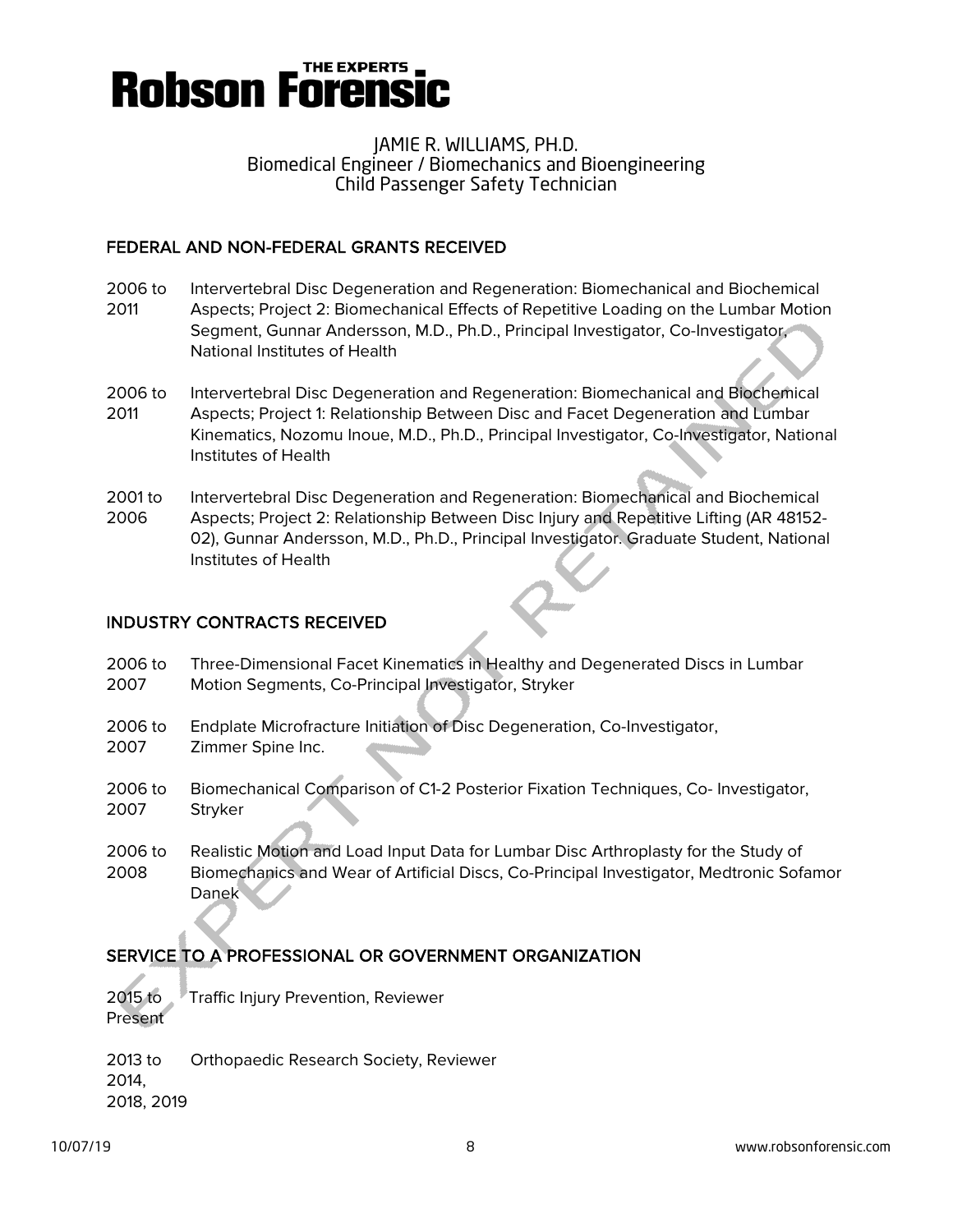

### FEDERAL AND NON-FEDERAL GRANTS RECEIVED

- 2006 to Intervertebral Disc Degeneration and Regeneration: Biomechanical and Biochemical 2011 Aspects; Project 2: Biomechanical Effects of Repetitive Loading on the Lumbar Motion Segment, Gunnar Andersson, M.D., Ph.D., Principal Investigator, Co-Investigator, National Institutes of Health
- 2006 to Intervertebral Disc Degeneration and Regeneration: Biomechanical and Biochemical 2011 Aspects; Project 1: Relationship Between Disc and Facet Degeneration and Lumbar Kinematics, Nozomu Inoue, M.D., Ph.D., Principal Investigator, Co-Investigator, National Institutes of Health
- 2001 to Intervertebral Disc Degeneration and Regeneration: Biomechanical and Biochemical 2006 Aspects; Project 2: Relationship Between Disc Injury and Repetitive Lifting (AR 48152- 02), Gunnar Andersson, M.D., Ph.D., Principal Investigator. Graduate Student, National Institutes of Health

### INDUSTRY CONTRACTS RECEIVED

- 2006 to Three-Dimensional Facet Kinematics in Healthy and Degenerated Discs in Lumbar 2007 Motion Segments, Co-Principal Investigator, Stryker
- 2006 to Endplate Microfracture Initiation of Disc Degeneration, Co-Investigator, 2007 Zimmer Spine Inc.
- 2006 to Biomechanical Comparison of C1-2 Posterior Fixation Techniques, Co- Investigator, 2007 Stryker
- 2006 to Realistic Motion and Load Input Data for Lumbar Disc Arthroplasty for the Study of 2008 Biomechanics and Wear of Artificial Discs, Co-Principal Investigator, Medtronic Sofamor Danek

## SERVICE TO A PROFESSIONAL OR GOVERNMENT ORGANIZATION

2015 to Traffic Injury Prevention, Reviewer Present

2013 to Orthopaedic Research Society, Reviewer 2014, 2018, 2019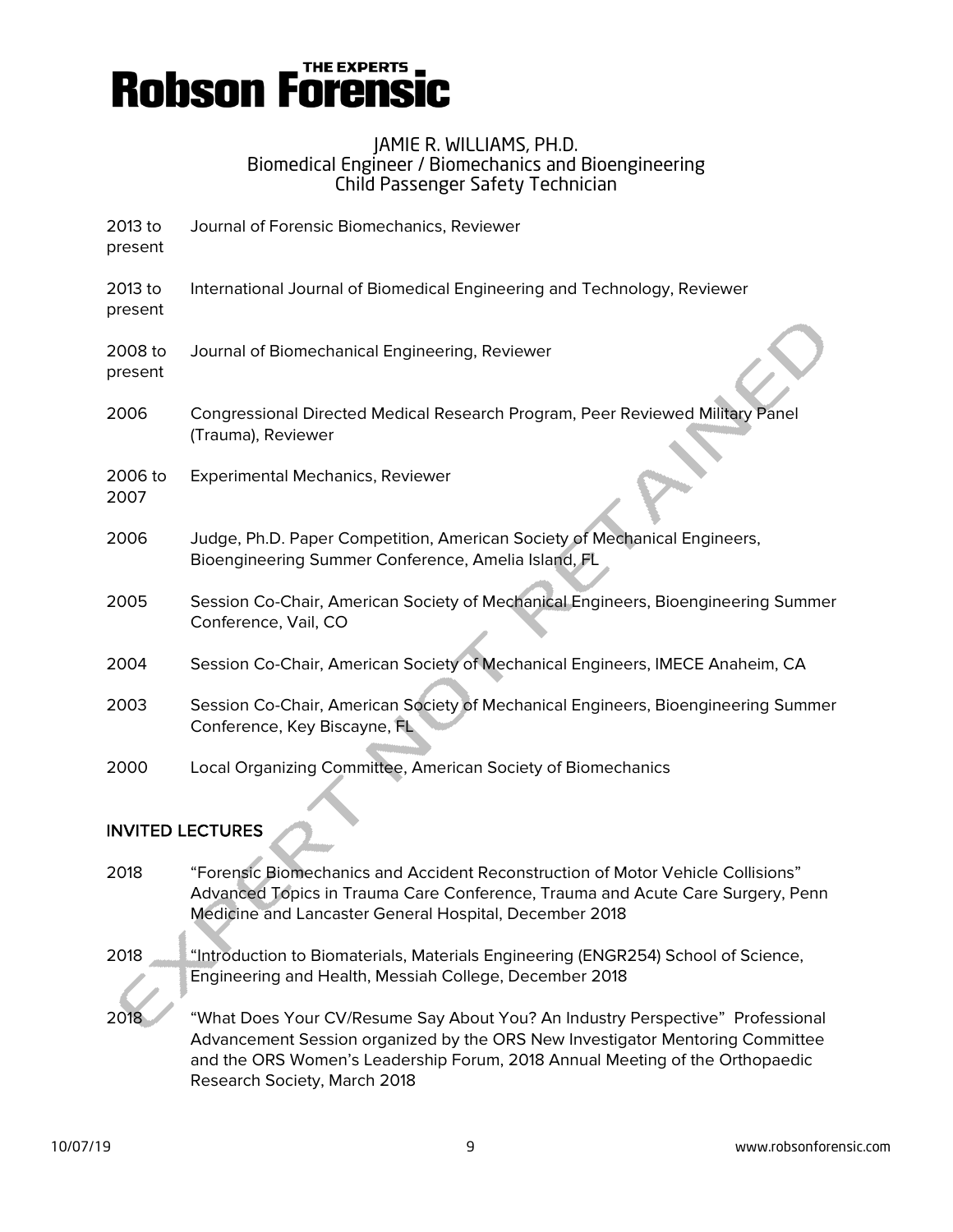

| 2013 to<br>present | Journal of Forensic Biomechanics, Reviewer                                                                                       |
|--------------------|----------------------------------------------------------------------------------------------------------------------------------|
| 2013 to<br>present | International Journal of Biomedical Engineering and Technology, Reviewer                                                         |
| 2008 to<br>present | Journal of Biomechanical Engineering, Reviewer                                                                                   |
| 2006               | Congressional Directed Medical Research Program, Peer Reviewed Military Panel<br>(Trauma), Reviewer                              |
| 2006 to<br>2007    | <b>Experimental Mechanics, Reviewer</b>                                                                                          |
| 2006               | Judge, Ph.D. Paper Competition, American Society of Mechanical Engineers,<br>Bioengineering Summer Conference, Amelia Island, FL |
| 2005               | Session Co-Chair, American Society of Mechanical Engineers, Bioengineering Summer<br>Conference, Vail, CO                        |
| 2004               | Session Co-Chair, American Society of Mechanical Engineers, IMECE Anaheim, CA                                                    |
| 2003               | Session Co-Chair, American Society of Mechanical Engineers, Bioengineering Summer<br>Conference, Key Biscayne, FL                |
| 2000               | Local Organizing Committee, American Society of Biomechanics                                                                     |

## INVITED LECTURES

2018 "Forensic Biomechanics and Accident Reconstruction of Motor Vehicle Collisions" Advanced Topics in Trauma Care Conference, Trauma and Acute Care Surgery, Penn Medicine and Lancaster General Hospital, December 2018 2018 "Introduction to Biomaterials, Materials Engineering (ENGR254) School of Science, Engineering and Health, Messiah College, December 2018 2018 "What Does Your CV/Resume Say About You? An Industry Perspective" Professional Advancement Session organized by the ORS New Investigator Mentoring Committee and the ORS Women's Leadership Forum, 2018 Annual Meeting of the Orthopaedic Research Society, March 2018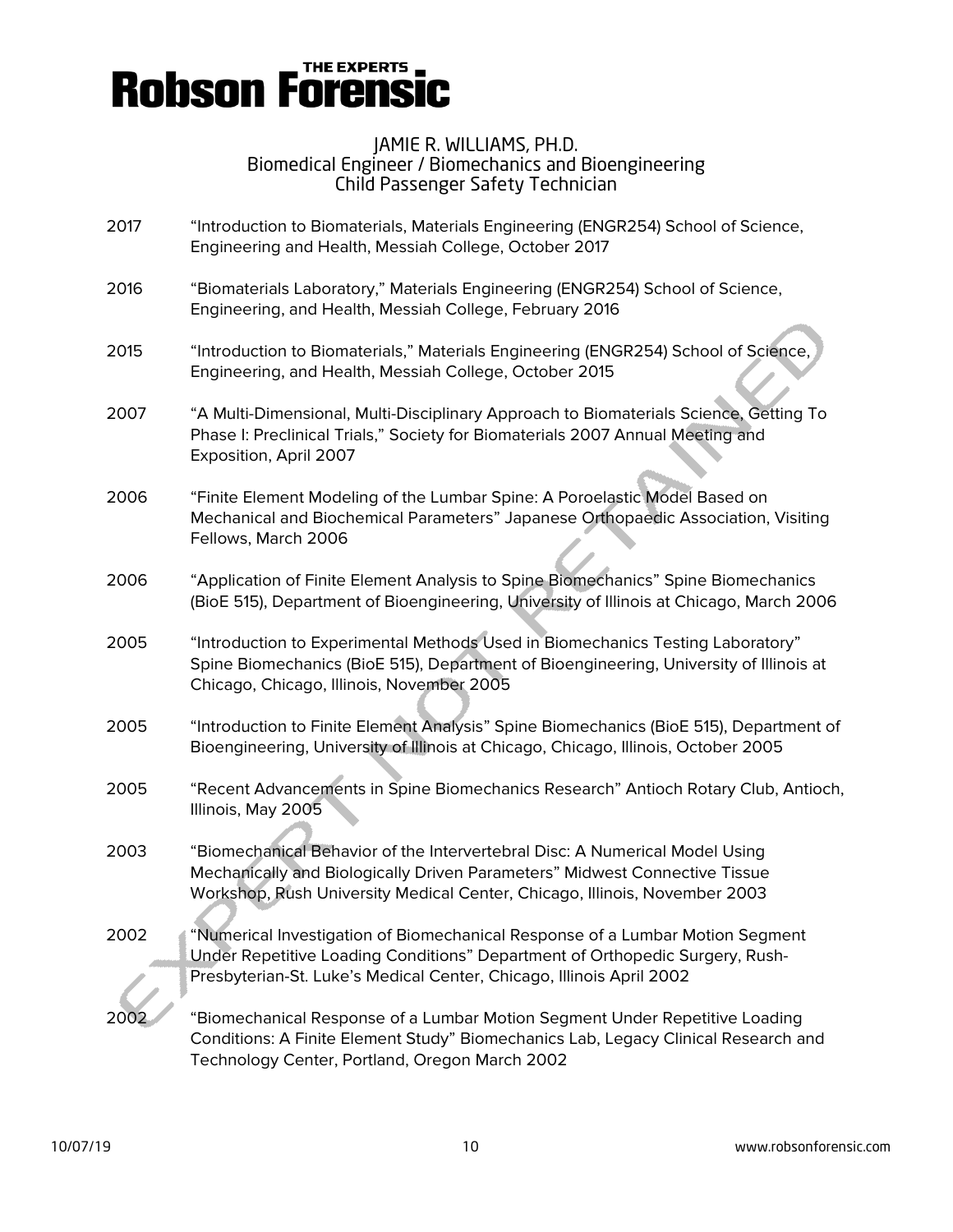## **Robson Forensi**

### JAMIE R. WILLIAMS, PH.D. Biomedical Engineer / Biomechanics and Bioengineering Child Passenger Safety Technician

- 2017 "Introduction to Biomaterials, Materials Engineering (ENGR254) School of Science, Engineering and Health, Messiah College, October 2017
- 2016 "Biomaterials Laboratory," Materials Engineering (ENGR254) School of Science, Engineering, and Health, Messiah College, February 2016
- 2015 "Introduction to Biomaterials," Materials Engineering (ENGR254) School of Science, Engineering, and Health, Messiah College, October 2015
- 2007 "A Multi-Dimensional, Multi-Disciplinary Approach to Biomaterials Science, Getting To Phase I: Preclinical Trials," Society for Biomaterials 2007 Annual Meeting and Exposition, April 2007
- 2006 "Finite Element Modeling of the Lumbar Spine: A Poroelastic Model Based on Mechanical and Biochemical Parameters" Japanese Orthopaedic Association, Visiting Fellows, March 2006
- 2006 "Application of Finite Element Analysis to Spine Biomechanics" Spine Biomechanics (BioE 515), Department of Bioengineering, University of Illinois at Chicago, March 2006
- 2005 "Introduction to Experimental Methods Used in Biomechanics Testing Laboratory" Spine Biomechanics (BioE 515), Department of Bioengineering, University of Illinois at Chicago, Chicago, Illinois, November 2005
- 2005 "Introduction to Finite Element Analysis" Spine Biomechanics (BioE 515), Department of Bioengineering, University of Illinois at Chicago, Chicago, Illinois, October 2005
- 2005 "Recent Advancements in Spine Biomechanics Research" Antioch Rotary Club, Antioch, Illinois, May 2005
- 2003 "Biomechanical Behavior of the Intervertebral Disc: A Numerical Model Using Mechanically and Biologically Driven Parameters" Midwest Connective Tissue Workshop, Rush University Medical Center, Chicago, Illinois, November 2003
- 2002 "Numerical Investigation of Biomechanical Response of a Lumbar Motion Segment Under Repetitive Loading Conditions" Department of Orthopedic Surgery, Rush-Presbyterian-St. Luke's Medical Center, Chicago, Illinois April 2002
- 2002 "Biomechanical Response of a Lumbar Motion Segment Under Repetitive Loading Conditions: A Finite Element Study" Biomechanics Lab, Legacy Clinical Research and Technology Center, Portland, Oregon March 2002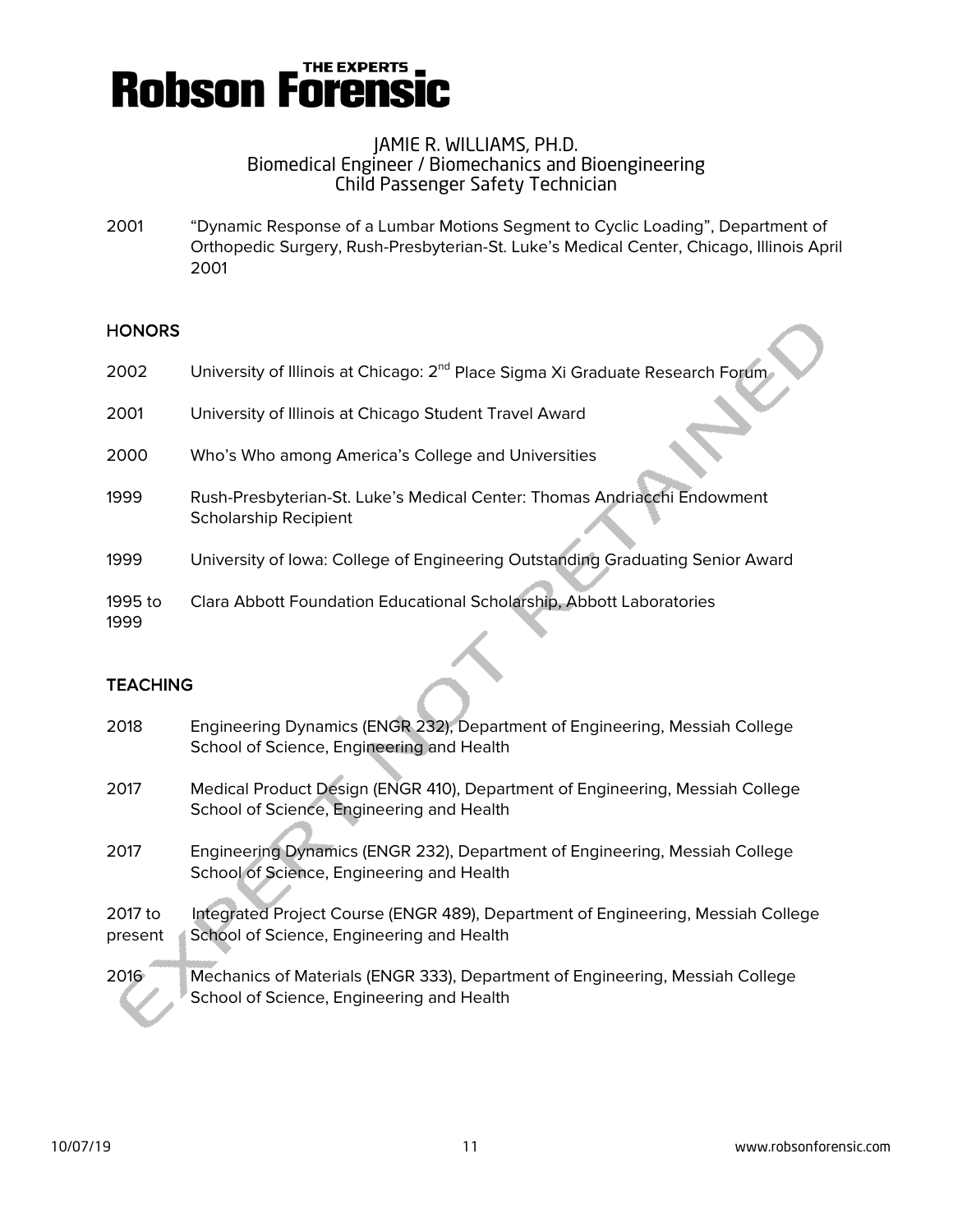

2001 "Dynamic Response of a Lumbar Motions Segment to Cyclic Loading", Department of Orthopedic Surgery, Rush-Presbyterian-St. Luke's Medical Center, Chicago, Illinois April 2001

#### **HONORS**

| 2002            | University of Illinois at Chicago: 2 <sup>nd</sup> Place Sigma Xi Graduate Research Forum                |
|-----------------|----------------------------------------------------------------------------------------------------------|
| 2001            | University of Illinois at Chicago Student Travel Award                                                   |
| 2000            | Who's Who among America's College and Universities                                                       |
| 1999            | Rush-Presbyterian-St. Luke's Medical Center: Thomas Andriacchi Endowment<br><b>Scholarship Recipient</b> |
| 1999            | University of Iowa: College of Engineering Outstanding Graduating Senior Award                           |
| 1995 to<br>1999 | Clara Abbott Foundation Educational Scholarship, Abbott Laboratories                                     |

#### **TEACHING**

| 2018    | Engineering Dynamics (ENGR 232), Department of Engineering, Messiah College<br>School of Science, Engineering and Health   |
|---------|----------------------------------------------------------------------------------------------------------------------------|
| 2017    | Medical Product Design (ENGR 410), Department of Engineering, Messiah College<br>School of Science, Engineering and Health |
| 2017    | Engineering Dynamics (ENGR 232), Department of Engineering, Messiah College<br>School of Science, Engineering and Health   |
| 2017 to | Integrated Project Course (ENGR 489), Department of Engineering, Messiah College                                           |
| present | School of Science, Engineering and Health                                                                                  |
| 2016    | Mechanics of Materials (ENGR 333), Department of Engineering, Messiah College<br>School of Science, Engineering and Health |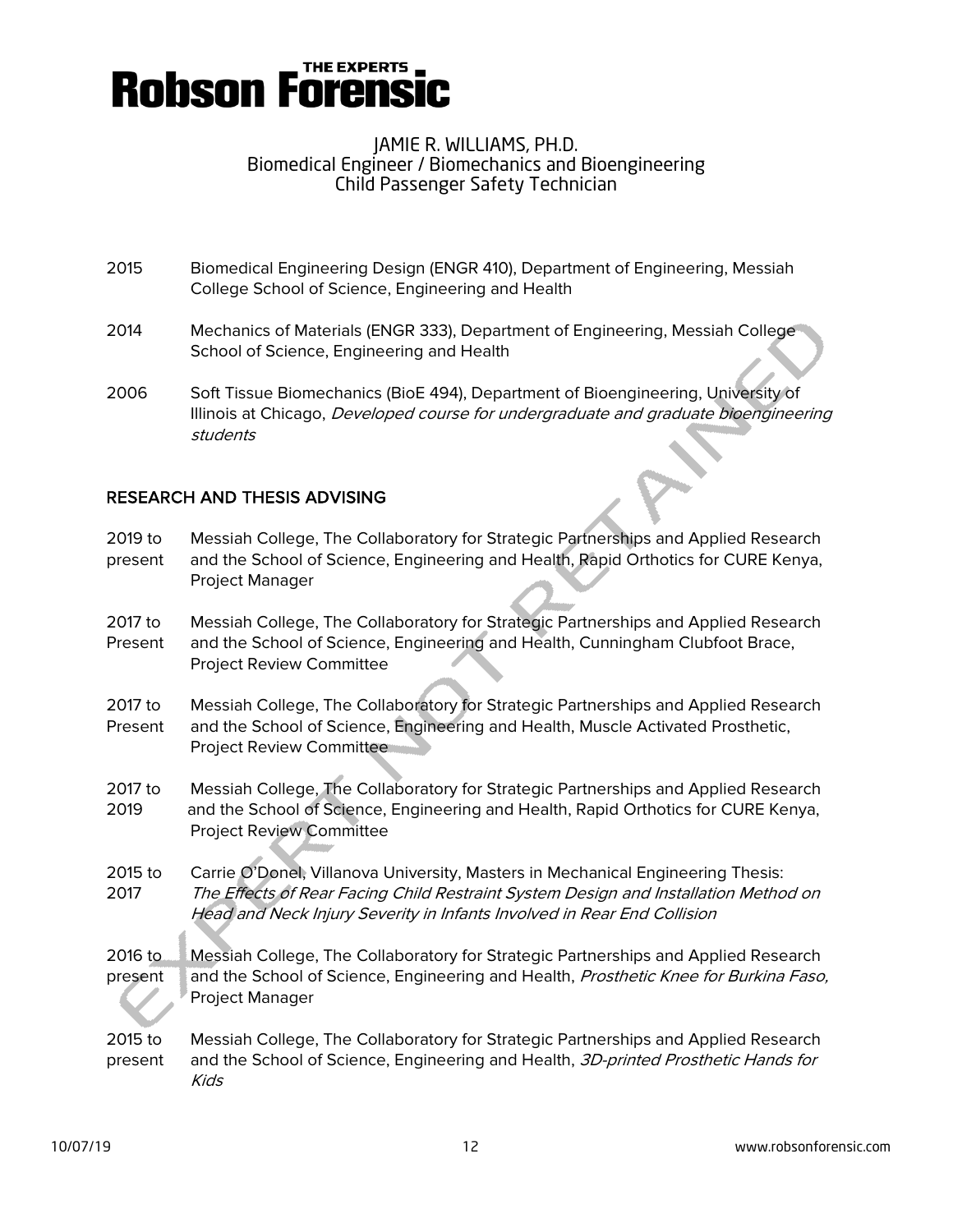

- 2015 Biomedical Engineering Design (ENGR 410), Department of Engineering, Messiah College School of Science, Engineering and Health
- 2014 Mechanics of Materials (ENGR 333), Department of Engineering, Messiah College School of Science, Engineering and Health
- 2006 Soft Tissue Biomechanics (BioE 494), Department of Bioengineering, University of Illinois at Chicago, Developed course for undergraduate and graduate bioengineering students

#### RESEARCH AND THESIS ADVISING

| 2019 to<br>present | Messiah College, The Collaboratory for Strategic Partnerships and Applied Research<br>and the School of Science, Engineering and Health, Rapid Orthotics for CURE Kenya,<br><b>Project Manager</b>                                                |
|--------------------|---------------------------------------------------------------------------------------------------------------------------------------------------------------------------------------------------------------------------------------------------|
| 2017 to<br>Present | Messiah College, The Collaboratory for Strategic Partnerships and Applied Research<br>and the School of Science, Engineering and Health, Cunningham Clubfoot Brace,<br>Project Review Committee                                                   |
| 2017 to<br>Present | Messiah College, The Collaboratory for Strategic Partnerships and Applied Research<br>and the School of Science, Engineering and Health, Muscle Activated Prosthetic,<br><b>Project Review Committee</b>                                          |
| 2017 to<br>2019    | Messiah College, The Collaboratory for Strategic Partnerships and Applied Research<br>and the School of Science, Engineering and Health, Rapid Orthotics for CURE Kenya,<br><b>Project Review Committee</b>                                       |
| 2015 to<br>2017    | Carrie O'Donel, Villanova University, Masters in Mechanical Engineering Thesis:<br>The Effects of Rear Facing Child Restraint System Design and Installation Method on<br>Head and Neck Injury Severity in Infants Involved in Rear End Collision |
| 2016 to<br>present | Messiah College, The Collaboratory for Strategic Partnerships and Applied Research<br>and the School of Science, Engineering and Health, Prosthetic Knee for Burkina Faso,<br>Project Manager                                                     |
| 2015 to<br>present | Messiah College, The Collaboratory for Strategic Partnerships and Applied Research<br>and the School of Science, Engineering and Health, 3D-printed Prosthetic Hands for<br><b>Kids</b>                                                           |